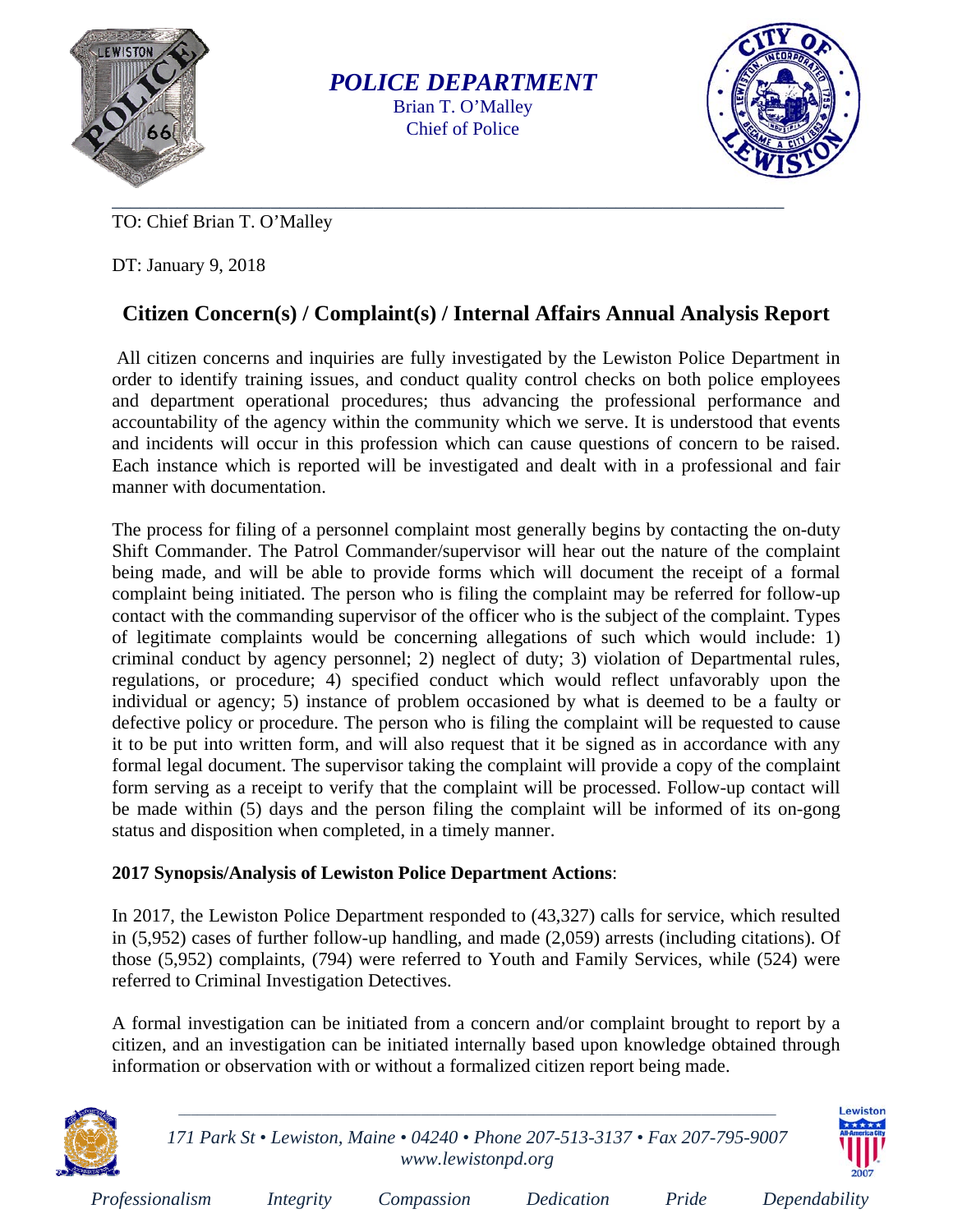

*POLICE DEPARTMENT*  Brian T. O'Malley Chief of Police



TO: Chief Brian T. O'Malley

DT: January 9, 2018

## **Citizen Concern(s) / Complaint(s) / Internal Affairs Annual Analysis Report**

 All citizen concerns and inquiries are fully investigated by the Lewiston Police Department in order to identify training issues, and conduct quality control checks on both police employees and department operational procedures; thus advancing the professional performance and accountability of the agency within the community which we serve. It is understood that events and incidents will occur in this profession which can cause questions of concern to be raised. Each instance which is reported will be investigated and dealt with in a professional and fair manner with documentation.

The process for filing of a personnel complaint most generally begins by contacting the on-duty Shift Commander. The Patrol Commander/supervisor will hear out the nature of the complaint being made, and will be able to provide forms which will document the receipt of a formal complaint being initiated. The person who is filing the complaint may be referred for follow-up contact with the commanding supervisor of the officer who is the subject of the complaint. Types of legitimate complaints would be concerning allegations of such which would include: 1) criminal conduct by agency personnel; 2) neglect of duty; 3) violation of Departmental rules, regulations, or procedure; 4) specified conduct which would reflect unfavorably upon the individual or agency; 5) instance of problem occasioned by what is deemed to be a faulty or defective policy or procedure. The person who is filing the complaint will be requested to cause it to be put into written form, and will also request that it be signed as in accordance with any formal legal document. The supervisor taking the complaint will provide a copy of the complaint form serving as a receipt to verify that the complaint will be processed. Follow-up contact will be made within (5) days and the person filing the complaint will be informed of its on-gong status and disposition when completed, in a timely manner.

## **2017 Synopsis/Analysis of Lewiston Police Department Actions**:

In 2017, the Lewiston Police Department responded to (43,327) calls for service, which resulted in (5,952) cases of further follow-up handling, and made (2,059) arrests (including citations). Of those (5,952) complaints, (794) were referred to Youth and Family Services, while (524) were referred to Criminal Investigation Detectives.

A formal investigation can be initiated from a concern and/or complaint brought to report by a citizen, and an investigation can be initiated internally based upon knowledge obtained through information or observation with or without a formalized citizen report being made.



*171 Park St • Lewiston, Maine • 04240 • Phone 207-513-3137 • Fax 207-795-9007 www.lewistonpd.org* 

 $\_$  , and the set of the set of the set of the set of the set of the set of the set of the set of the set of the set of the set of the set of the set of the set of the set of the set of the set of the set of the set of th



| Professionalism | <i>Integrity</i> | Compassion | Dedication | $P$ ride | Dependability |
|-----------------|------------------|------------|------------|----------|---------------|